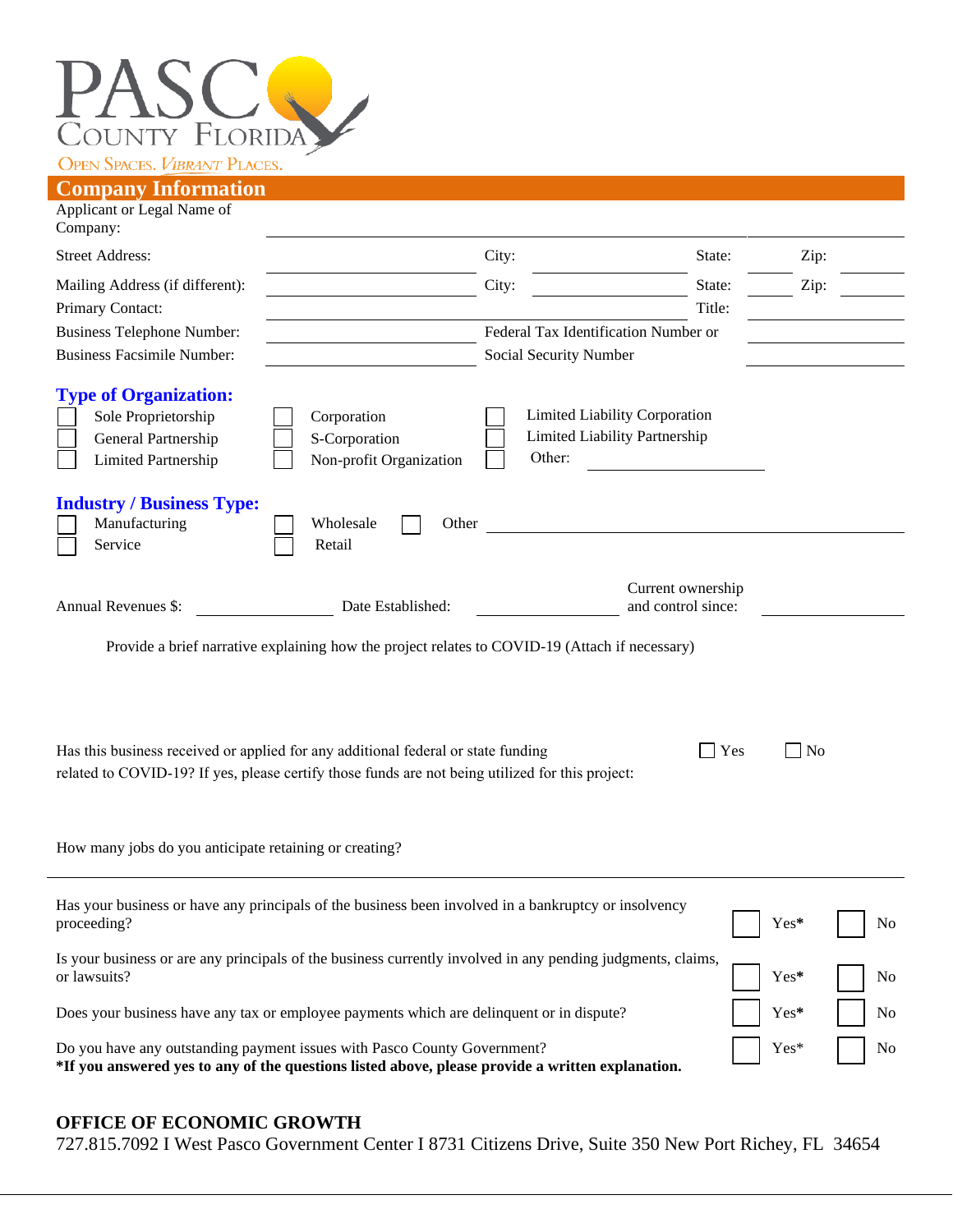

| Сонграну пиогшанон                                                                                       |                                                                                                                                                                                       |                                                                          |                   |           |
|----------------------------------------------------------------------------------------------------------|---------------------------------------------------------------------------------------------------------------------------------------------------------------------------------------|--------------------------------------------------------------------------|-------------------|-----------|
| Applicant or Legal Name of<br>Company:                                                                   |                                                                                                                                                                                       |                                                                          |                   |           |
| <b>Street Address:</b>                                                                                   |                                                                                                                                                                                       | City:                                                                    | State:            | Zip:      |
| Mailing Address (if different):<br>Primary Contact:                                                      |                                                                                                                                                                                       | City:                                                                    | State:<br>Title:  | Zip:      |
| <b>Business Telephone Number:</b><br><b>Business Facsimile Number:</b>                                   |                                                                                                                                                                                       | Federal Tax Identification Number or<br>Social Security Number           |                   |           |
| <b>Type of Organization:</b><br>Sole Proprietorship<br>General Partnership<br><b>Limited Partnership</b> | Corporation<br>S-Corporation<br>Non-profit Organization                                                                                                                               | Limited Liability Corporation<br>Limited Liability Partnership<br>Other: |                   |           |
| <b>Industry / Business Type:</b><br>Manufacturing<br>Service                                             | Wholesale<br>Other<br>Retail                                                                                                                                                          |                                                                          |                   |           |
| Annual Revenues \$:                                                                                      | Date Established:                                                                                                                                                                     | and control since:                                                       | Current ownership |           |
|                                                                                                          | Provide a brief narrative explaining how the project relates to COVID-19 (Attach if necessary)                                                                                        |                                                                          |                   |           |
|                                                                                                          | Has this business received or applied for any additional federal or state funding<br>related to COVID-19? If yes, please certify those funds are not being utilized for this project: |                                                                          | Yes               | <b>No</b> |
|                                                                                                          |                                                                                                                                                                                       |                                                                          |                   |           |

How many jobs do you anticipate retaining or creating?

| Has your business or have any principals of the business been involved in a bankruptcy or insolvency<br>proceeding?                                                          | $\sqrt{Y}$ es* $\sqrt{N_0}$     |  |
|------------------------------------------------------------------------------------------------------------------------------------------------------------------------------|---------------------------------|--|
| Is your business or are any principals of the business currently involved in any pending judgments, claims, $\Box$ Yes* $\Box$ No                                            |                                 |  |
| Does your business have any tax or employee payments which are delinquent or in dispute?                                                                                     | $\vert$ $\vert$ Yes* $\vert$ No |  |
| Do you have any outstanding payment issues with Pasco County Government?<br>*If you answered yes to any of the questions listed above, please provide a written explanation. | $\sqrt{Y}$ es* $\sqrt{N}$       |  |

## **OFFICE OF ECONOMIC GROWTH**

727.815.7092 I West Pasco Government Center I 8731 Citizens Drive, Suite 350 New Port Richey, FL 34654